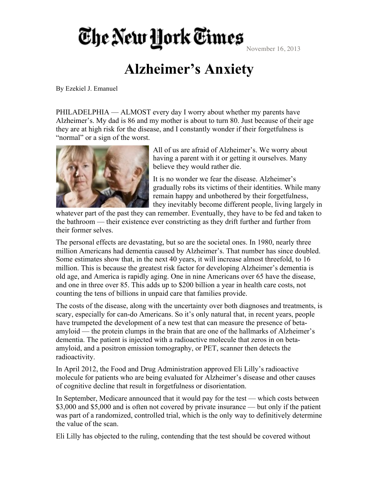## The New Hork Times

November 16, 2013

## **Alzheimer's Anxiety**

By Ezekiel J. Emanuel

PHILADELPHIA — ALMOST every day I worry about whether my parents have Alzheimer's. My dad is 86 and my mother is about to turn 80. Just because of their age they are at high risk for the disease, and I constantly wonder if their forgetfulness is "normal" or a sign of the worst.



All of us are afraid of Alzheimer's. We worry about having a parent with it or getting it ourselves. Many believe they would rather die.

It is no wonder we fear the disease. Alzheimer's gradually robs its victims of their identities. While many remain happy and unbothered by their forgetfulness, they inevitably become different people, living largely in

whatever part of the past they can remember. Eventually, they have to be fed and taken to the bathroom — their existence ever constricting as they drift further and further from their former selves.

The personal effects are devastating, but so are the societal ones. In 1980, nearly three million Americans had dementia caused by Alzheimer's. That number has since doubled. Some estimates show that, in the next 40 years, it will increase almost threefold, to 16 million. This is because the greatest risk factor for developing Alzheimer's dementia is old age, and America is rapidly aging. One in nine Americans over 65 have the disease, and one in three over 85. This adds up to \$200 billion a year in health care costs, not counting the tens of billions in unpaid care that families provide.

The costs of the disease, along with the uncertainty over both diagnoses and treatments, is scary, especially for can-do Americans. So it's only natural that, in recent years, people have trumpeted the development of a new test that can measure the presence of betaamyloid — the protein clumps in the brain that are one of the hallmarks of Alzheimer's dementia. The patient is injected with a radioactive molecule that zeros in on betaamyloid, and a positron emission tomography, or PET, scanner then detects the radioactivity.

In April 2012, the Food and Drug Administration approved Eli Lilly's radioactive molecule for patients who are being evaluated for Alzheimer's disease and other causes of cognitive decline that result in forgetfulness or disorientation.

In September, Medicare announced that it would pay for the test — which costs between \$3,000 and \$5,000 and is often not covered by private insurance — but only if the patient was part of a randomized, controlled trial, which is the only way to definitively determine the value of the scan.

Eli Lilly has objected to the ruling, contending that the test should be covered without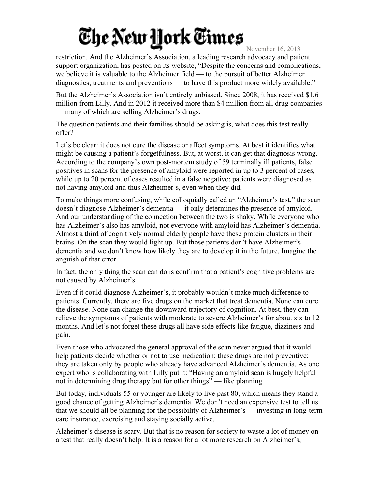## The New Hork Times

November 16, 2013

restriction. And the Alzheimer's Association, a leading research advocacy and patient support organization, has posted on its website, "Despite the concerns and complications, we believe it is valuable to the Alzheimer field — to the pursuit of better Alzheimer diagnostics, treatments and preventions — to have this product more widely available."

But the Alzheimer's Association isn't entirely unbiased. Since 2008, it has received \$1.6 million from Lilly. And in 2012 it received more than \$4 million from all drug companies — many of which are selling Alzheimer's drugs.

The question patients and their families should be asking is, what does this test really offer?

Let's be clear: it does not cure the disease or affect symptoms. At best it identifies what might be causing a patient's forgetfulness. But, at worst, it can get that diagnosis wrong. According to the company's own post-mortem study of 59 terminally ill patients, false positives in scans for the presence of amyloid were reported in up to 3 percent of cases, while up to 20 percent of cases resulted in a false negative: patients were diagnosed as not having amyloid and thus Alzheimer's, even when they did.

To make things more confusing, while colloquially called an "Alzheimer's test," the scan doesn't diagnose Alzheimer's dementia — it only determines the presence of amyloid. And our understanding of the connection between the two is shaky. While everyone who has Alzheimer's also has amyloid, not everyone with amyloid has Alzheimer's dementia. Almost a third of cognitively normal elderly people have these protein clusters in their brains. On the scan they would light up. But those patients don't have Alzheimer's dementia and we don't know how likely they are to develop it in the future. Imagine the anguish of that error.

In fact, the only thing the scan can do is confirm that a patient's cognitive problems are not caused by Alzheimer's.

Even if it could diagnose Alzheimer's, it probably wouldn't make much difference to patients. Currently, there are five drugs on the market that treat dementia. None can cure the disease. None can change the downward trajectory of cognition. At best, they can relieve the symptoms of patients with moderate to severe Alzheimer's for about six to 12 months. And let's not forget these drugs all have side effects like fatigue, dizziness and pain.

Even those who advocated the general approval of the scan never argued that it would help patients decide whether or not to use medication: these drugs are not preventive; they are taken only by people who already have advanced Alzheimer's dementia. As one expert who is collaborating with Lilly put it: "Having an amyloid scan is hugely helpful not in determining drug therapy but for other things" — like planning.

But today, individuals 55 or younger are likely to live past 80, which means they stand a good chance of getting Alzheimer's dementia. We don't need an expensive test to tell us that we should all be planning for the possibility of Alzheimer's — investing in long-term care insurance, exercising and staying socially active.

Alzheimer's disease is scary. But that is no reason for society to waste a lot of money on a test that really doesn't help. It is a reason for a lot more research on Alzheimer's,